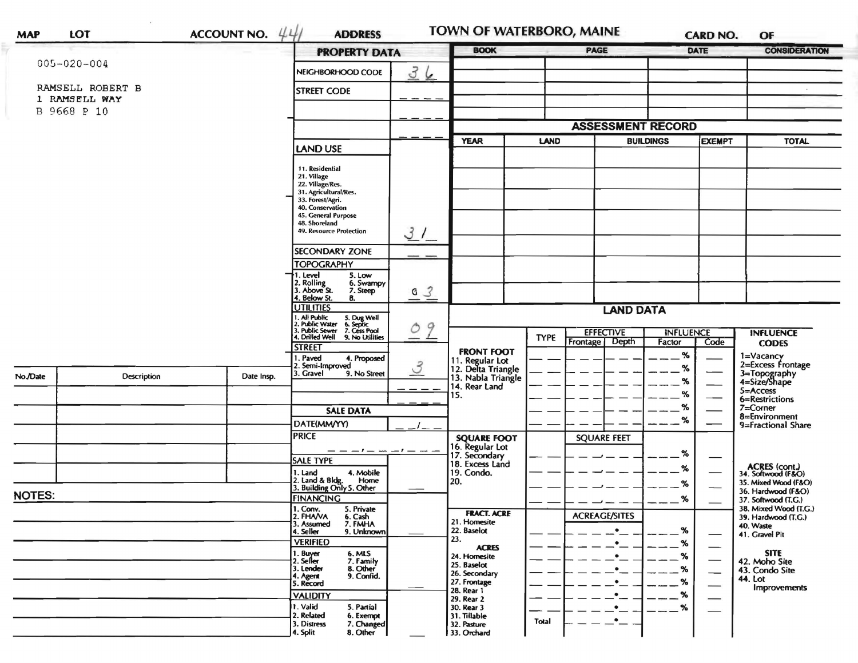| <b>MAP</b>                   | LOT               | <b>ACCOUNT NO.</b> | 441<br><b>ADDRESS</b>                                                                                                     |                      | TOWN OF WATERBORO, MAINE                                          |             |                                    |                            | <b>CARD NO.</b> | OF                                           |
|------------------------------|-------------------|--------------------|---------------------------------------------------------------------------------------------------------------------------|----------------------|-------------------------------------------------------------------|-------------|------------------------------------|----------------------------|-----------------|----------------------------------------------|
|                              |                   |                    |                                                                                                                           | <b>PROPERTY DATA</b> |                                                                   | <b>BOOK</b> |                                    |                            | DATE            | <b>CONSIDERATION</b>                         |
|                              | $005 - 020 - 004$ |                    | NEIGHBORHOOD CODE                                                                                                         | 36                   |                                                                   |             |                                    |                            |                 |                                              |
|                              | RAMSELL ROBERT B  |                    | <b>STREET CODE</b>                                                                                                        |                      |                                                                   |             |                                    |                            |                 |                                              |
| 1 RAMSELL WAY<br>B 9668 P 10 |                   |                    |                                                                                                                           |                      |                                                                   |             |                                    |                            |                 |                                              |
|                              |                   |                    |                                                                                                                           |                      |                                                                   |             | <b>ASSESSMENT RECORD</b>           |                            |                 |                                              |
|                              |                   |                    |                                                                                                                           |                      | <b>YEAR</b><br>LAND                                               |             | <b>BUILDINGS</b>                   |                            | EXEMPT          | <b>TOTAL</b>                                 |
|                              |                   |                    | LAND USE                                                                                                                  |                      |                                                                   |             |                                    |                            |                 |                                              |
|                              |                   |                    | 11. Residential                                                                                                           |                      |                                                                   |             |                                    |                            |                 |                                              |
|                              |                   |                    | 21. Village<br>22. Village/Res.                                                                                           |                      |                                                                   |             |                                    |                            |                 |                                              |
|                              |                   |                    | 31. Agricultural/Res.<br>33. Forest/Agri.                                                                                 |                      |                                                                   |             |                                    |                            |                 |                                              |
|                              |                   |                    | 40. Conservation<br>45. General Purpose                                                                                   |                      |                                                                   |             |                                    |                            |                 |                                              |
|                              |                   |                    | 48. Shoreland<br>49. Resource Protection                                                                                  |                      |                                                                   |             |                                    |                            |                 |                                              |
|                              |                   |                    |                                                                                                                           | 31                   |                                                                   |             |                                    |                            |                 |                                              |
|                              |                   |                    | <b>SECONDARY ZONE</b><br><b>TOPOGRAPHY</b>                                                                                |                      |                                                                   |             |                                    |                            |                 |                                              |
|                              |                   |                    | 1. Level<br>5. Low                                                                                                        |                      |                                                                   |             |                                    |                            |                 |                                              |
|                              |                   |                    | 2. Rolling<br>6. Swampy<br>3. Above St.<br>7. Steep                                                                       | 03                   |                                                                   |             |                                    |                            |                 |                                              |
|                              |                   |                    | 4. Below St.<br>8.<br><b>UTILITIES</b>                                                                                    |                      | <b>LAND DATA</b>                                                  |             |                                    |                            |                 |                                              |
|                              |                   |                    | 1. Ali Public 5. Dug Well<br>2. Public Water 6. Septic<br>3. Public Sewer 7. Cess Pool<br>4. Drilled Well 9. No Utilities |                      |                                                                   |             |                                    |                            |                 |                                              |
|                              |                   |                    |                                                                                                                           | 9<br>$\circ$         |                                                                   | <b>TYPE</b> | <b>EFFECTIVE</b><br>Frontage Depth | <b>INFLUENCE</b><br>Factor | Code            | <b>INFLUENCE</b>                             |
|                              |                   |                    | <b>STREET</b>                                                                                                             |                      | <b>FRONT FOOT</b>                                                 |             |                                    | %                          |                 | <b>CODES</b><br>1=Vacancy                    |
|                              |                   |                    | Paved<br>4. Proposed<br>. Semi-Improved                                                                                   | $\mathcal{S}$        | 11. Regular Lot<br>12. Delta Triangle<br>13. Nabla Triangle       |             |                                    | %                          |                 | 2=Excess Frontage                            |
| No./Date                     | Description       | Date Insp.         | 3. Gravel<br>9. No Street                                                                                                 |                      | 14. Rear Land<br>15.                                              |             |                                    | %                          |                 | 3=Topography<br>4=Size/Shape                 |
|                              |                   |                    |                                                                                                                           |                      |                                                                   |             |                                    | %                          |                 | 5=Access<br>6=Restrictions                   |
|                              |                   |                    | <b>SALE DATA</b>                                                                                                          |                      |                                                                   |             |                                    | %                          |                 | 7=Corner                                     |
|                              |                   |                    | DATE(MM/YY)                                                                                                               |                      |                                                                   |             |                                    | %                          |                 | 8=Environment<br>9=Fractional Share          |
|                              |                   |                    | <b>PRICE</b>                                                                                                              |                      | <b>SQUARE FOOT</b>                                                |             | <b>SQUARE FEET</b>                 |                            |                 |                                              |
|                              |                   |                    | <b>SALE TYPE</b>                                                                                                          | -1-                  | 16. Regular Lot<br>17. Secondary<br>18. Excess Land<br>19. Condo. |             |                                    | %                          |                 |                                              |
|                              |                   |                    | 4. Mobile<br>1. Land                                                                                                      |                      |                                                                   |             |                                    | %                          |                 | <b>ACRES</b> (cont.)<br>34. Softwood (F&O)   |
|                              |                   |                    | 2. Land & Bldg. Home<br>3. Building Only 5. Other<br>Home                                                                 |                      | 20.                                                               |             |                                    | %                          |                 | 35. Mixed Wood (F&O)                         |
| <b>NOTES:</b>                |                   |                    | <b>FINANCING</b>                                                                                                          |                      |                                                                   |             |                                    | %                          |                 | 36. Hardwood (F&O)<br>37. Softwood (T.G.)    |
|                              |                   |                    | 1. Conv. 5. Private<br>2. FHAVA 6. Cash<br>2. FHAVA                                                                       |                      | <b>FRACT. ACRE</b>                                                |             | <b>ACREAGE/SITES</b>               |                            |                 | 38. Mixed Wood (T.G.)<br>39. Hardwood (T.G.) |
|                              |                   |                    | 3. Assumed<br>7. FMHA<br>4. Seller<br>9. Unknown                                                                          |                      | 21. Homesite<br>22. Baselot                                       |             | $\bullet$                          | $\%$                       |                 | 40. Waste<br>41. Gravel Pit                  |
|                              |                   |                    | <b>VERIFIED</b>                                                                                                           |                      | 23.<br><b>ACRES</b>                                               |             | $\bullet$                          | %                          |                 |                                              |
|                              |                   |                    | 1. Buyer<br>2. Seller<br>6. MLS<br>7. Family                                                                              |                      | 24. Homesite                                                      |             | $\bullet$                          | $\%$                       |                 | <b>SITE</b><br>42. Moho Site                 |
|                              |                   |                    | 3. Lender<br>8. Other<br>9. Confid.                                                                                       |                      | 25. Baselot<br>26. Secondary                                      |             | $\bullet$                          | %                          | --              | 43. Condo Site                               |
|                              |                   |                    | 4. Agent<br>5. Record                                                                                                     |                      | 27. Frontage<br>28. Rear 1                                        |             | $\bullet$                          | $\%$                       |                 | <b>44. Lot</b><br>Improvements               |
|                              |                   |                    | <b>VALIDITY</b><br>1. Valid<br>5. Partial                                                                                 |                      | 29. Rear 2                                                        |             | $\bullet$<br>$\bullet$             | $\%$                       |                 |                                              |
|                              |                   |                    | 2. Related<br>6. Exempt                                                                                                   |                      | 30. Rear 3<br>31. Tillable                                        | Total       | ٠                                  | %                          |                 |                                              |
|                              |                   |                    | 3. Distress<br>7. Changed<br>8. Other<br>4. Split                                                                         |                      | 32. Pasture<br>33. Orchard                                        |             |                                    |                            |                 |                                              |